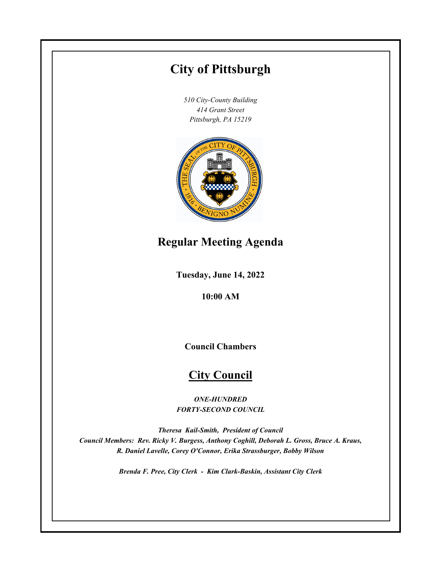# **City of Pittsburgh**

*510 City-County Building 414 Grant Street Pittsburgh, PA 15219*



## **Regular Meeting Agenda**

**Tuesday, June 14, 2022**

**10:00 AM**

**Council Chambers**

## **City Council**

*ONE-HUNDRED FORTY-SECOND COUNCIL*

*Theresa Kail-Smith, President of Council Council Members: Rev. Ricky V. Burgess, Anthony Coghill, Deborah L. Gross, Bruce A. Kraus, R. Daniel Lavelle, Corey O'Connor, Erika Strassburger, Bobby Wilson*

*Brenda F. Pree, City Clerk - Kim Clark-Baskin, Assistant City Clerk*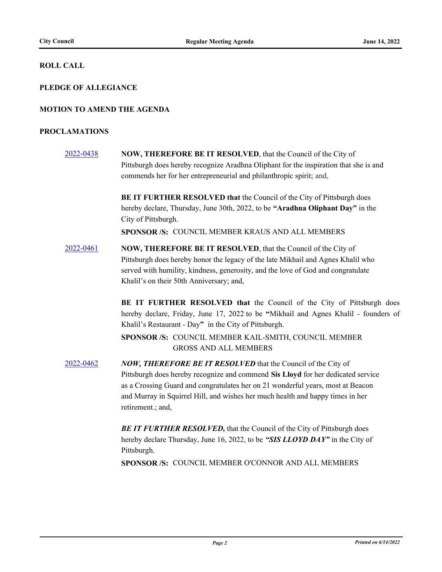### **ROLL CALL**

### **PLEDGE OF ALLEGIANCE**

### **MOTION TO AMEND THE AGENDA**

#### **PROCLAMATIONS**

[2022-0438](http://pittsburgh.legistar.com/gateway.aspx?m=l&id=/matter.aspx?key=27832) **NOW, THEREFORE BE IT RESOLVED**, that the Council of the City of Pittsburgh does hereby recognize Aradhna Oliphant for the inspiration that she is and commends her for her entrepreneurial and philanthropic spirit; and,

> **BE IT FURTHER RESOLVED that** the Council of the City of Pittsburgh does hereby declare, Thursday, June 30th, 2022, to be **"Aradhna Oliphant Day"** in the City of Pittsburgh.

**SPONSOR /S:** COUNCIL MEMBER KRAUS AND ALL MEMBERS

[2022-0461](http://pittsburgh.legistar.com/gateway.aspx?m=l&id=/matter.aspx?key=27856) **NOW, THEREFORE BE IT RESOLVED**, that the Council of the City of Pittsburgh does hereby honor the legacy of the late Mikhail and Agnes Khalil who served with humility, kindness, generosity, and the love of God and congratulate Khalil's on their 50th Anniversary; and,

> **BE IT FURTHER RESOLVED that** the Council of the City of Pittsburgh does hereby declare, Friday, June 17, 2022 to be **"**Mikhail and Agnes Khalil - founders of Khalil's Restaurant - Day**"** in the City of Pittsburgh.

SPONSOR /S: COUNCIL MEMBER KAIL-SMITH, COUNCIL MEMBER GROSS AND ALL MEMBERS

[2022-0462](http://pittsburgh.legistar.com/gateway.aspx?m=l&id=/matter.aspx?key=27857) *NOW, THEREFORE BE IT RESOLVED* that the Council of the City of Pittsburgh does hereby recognize and commend **Sis Lloyd** for her dedicated service as a Crossing Guard and congratulates her on 21 wonderful years, most at Beacon and Murray in Squirrel Hill, and wishes her much health and happy times in her retirement.; and,

> **BE IT FURTHER RESOLVED, that the Council of the City of Pittsburgh does** hereby declare Thursday, June 16, 2022, to be *"SIS LLOYD DAY"* in the City of Pittsburgh.

**SPONSOR /S:** COUNCIL MEMBER O'CONNOR AND ALL MEMBERS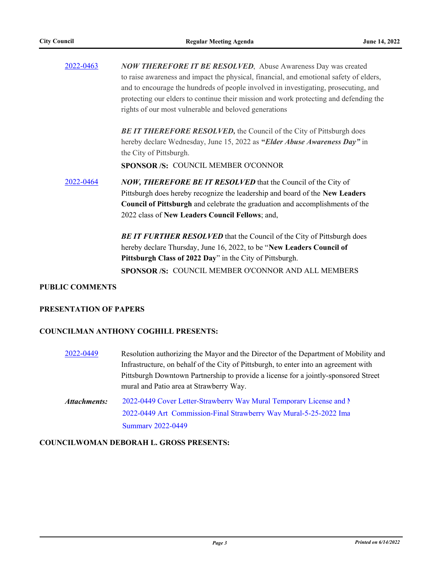| 2022-0463 | <b>NOW THEREFORE IT BE RESOLVED</b> , Abuse Awareness Day was created<br>to raise awareness and impact the physical, financial, and emotional safety of elders,<br>and to encourage the hundreds of people involved in investigating, prosecuting, and<br>protecting our elders to continue their mission and work protecting and defending the<br>rights of our most vulnerable and beloved generations |  |  |  |
|-----------|----------------------------------------------------------------------------------------------------------------------------------------------------------------------------------------------------------------------------------------------------------------------------------------------------------------------------------------------------------------------------------------------------------|--|--|--|
|           | <b>BE IT THEREFORE RESOLVED, the Council of the City of Pittsburgh does</b><br>hereby declare Wednesday, June 15, 2022 as "Elder Abuse Awareness Day" in<br>the City of Pittsburgh.<br>SPONSOR /S: COUNCIL MEMBER O'CONNOR                                                                                                                                                                               |  |  |  |
| 2022-0464 | <b>NOW, THEREFORE BE IT RESOLVED</b> that the Council of the City of<br>Pittsburgh does hereby recognize the leadership and board of the New Leaders<br><b>Council of Pittsburgh</b> and celebrate the graduation and accomplishments of the<br>2022 class of New Leaders Council Fellows; and,                                                                                                          |  |  |  |
|           | <b>BE IT FURTHER RESOLVED</b> that the Council of the City of Pittsburgh does<br>hereby declare Thursday, June 16, 2022, to be "New Leaders Council of<br>Pittsburgh Class of 2022 Day" in the City of Pittsburgh.<br>SPONSOR /S: COUNCIL MEMBER O'CONNOR AND ALL MEMBERS                                                                                                                                |  |  |  |

### **PUBLIC COMMENTS**

### **PRESENTATION OF PAPERS**

### **COUNCILMAN ANTHONY COGHILL PRESENTS:**

| 2022-0449    | Resolution authorizing the Mayor and the Director of the Department of Mobility and  |
|--------------|--------------------------------------------------------------------------------------|
|              | Infrastructure, on behalf of the City of Pittsburgh, to enter into an agreement with |
|              | Pittsburgh Downtown Partnership to provide a license for a jointly-sponsored Street  |
|              | mural and Patio area at Strawberry Way.                                              |
| Attachments: | 2022-0449 Cover Letter-Strawberry Way Mural Temporary License and N                  |
|              | 2022-0449 Art Commission-Final Strawberry Way Mural-5-25-2022 Ima                    |

#### **COUNCILWOMAN DEBORAH L. GROSS PRESENTS:**

[Summary 2022-0449](http://pittsburgh.legistar.com/gateway.aspx?M=F&ID=31929ab3-f23c-476a-99e0-2f75253de335.docx)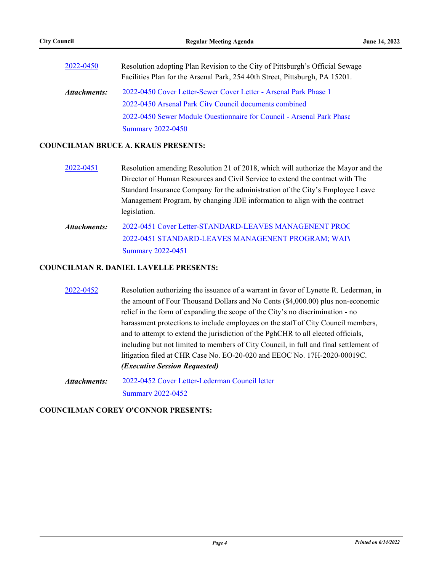| 2022-0450    | Resolution adopting Plan Revision to the City of Pittsburgh's Official Sewage<br>Facilities Plan for the Arsenal Park, 254 40th Street, Pittsburgh, PA 15201. |  |  |
|--------------|---------------------------------------------------------------------------------------------------------------------------------------------------------------|--|--|
| Attachments: | 2022-0450 Cover Letter-Sewer Cover Letter - Arsenal Park Phase 1                                                                                              |  |  |
|              | 2022-0450 Arsenal Park City Council documents combined                                                                                                        |  |  |
|              | 2022-0450 Sewer Module Questionnaire for Council - Arsenal Park Phase                                                                                         |  |  |
|              | <b>Summary 2022-0450</b>                                                                                                                                      |  |  |

#### **COUNCILMAN BRUCE A. KRAUS PRESENTS:**

- [2022-0451](http://pittsburgh.legistar.com/gateway.aspx?m=l&id=/matter.aspx?key=27846) Resolution amending Resolution 21 of 2018, which will authorize the Mayor and the Director of Human Resources and Civil Service to extend the contract with The Standard Insurance Company for the administration of the City's Employee Leave Management Program, by changing JDE information to align with the contract legislation.
- 2022-0451 Cover Letter-STANDARD-LEAVES MANAGENENT PROC 2022-0451 STANDARD-LEAVES MANAGENENT PROGRAM: WAIV [Summary 2022-0451](http://pittsburgh.legistar.com/gateway.aspx?M=F&ID=828174cc-3e0b-4dd4-a2b7-1e122a415e17.docx) *Attachments:*

### **COUNCILMAN R. DANIEL LAVELLE PRESENTS:**

- [2022-0452](http://pittsburgh.legistar.com/gateway.aspx?m=l&id=/matter.aspx?key=27847) Resolution authorizing the issuance of a warrant in favor of Lynette R. Lederman, in the amount of Four Thousand Dollars and No Cents (\$4,000.00) plus non-economic relief in the form of expanding the scope of the City's no discrimination - no harassment protections to include employees on the staff of City Council members, and to attempt to extend the jurisdiction of the PghCHR to all elected officials, including but not limited to members of City Council, in full and final settlement of litigation filed at CHR Case No. EO-20-020 and EEOC No. 17H-2020-00019C. *(Executive Session Requested)*
- [2022-0452 Cover Letter-Lederman Council letter](http://pittsburgh.legistar.com/gateway.aspx?M=F&ID=2138dab9-443e-4cbd-aa9c-e68afeac7687.docx) [Summary 2022-0452](http://pittsburgh.legistar.com/gateway.aspx?M=F&ID=804f5a5a-51d1-440c-bccb-62b4abed5a7e.docx) *Attachments:*

### **COUNCILMAN COREY O'CONNOR PRESENTS:**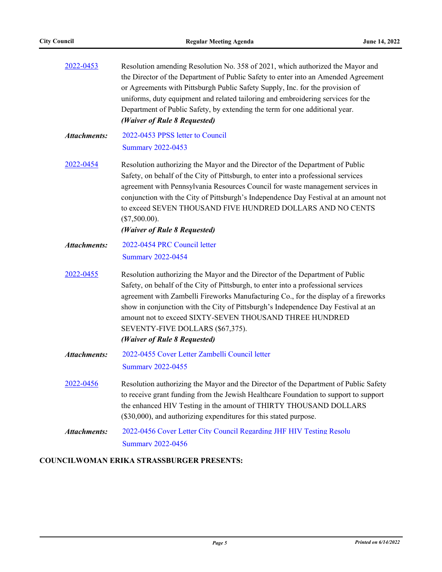| 2022-0453           | Resolution amending Resolution No. 358 of 2021, which authorized the Mayor and<br>the Director of the Department of Public Safety to enter into an Amended Agreement<br>or Agreements with Pittsburgh Public Safety Supply, Inc. for the provision of<br>uniforms, duty equipment and related tailoring and embroidering services for the<br>Department of Public Safety, by extending the term for one additional year.<br>(Waiver of Rule 8 Requested)                       |
|---------------------|--------------------------------------------------------------------------------------------------------------------------------------------------------------------------------------------------------------------------------------------------------------------------------------------------------------------------------------------------------------------------------------------------------------------------------------------------------------------------------|
| <b>Attachments:</b> | 2022-0453 PPSS letter to Council<br><b>Summary 2022-0453</b>                                                                                                                                                                                                                                                                                                                                                                                                                   |
| 2022-0454           | Resolution authorizing the Mayor and the Director of the Department of Public<br>Safety, on behalf of the City of Pittsburgh, to enter into a professional services<br>agreement with Pennsylvania Resources Council for waste management services in<br>conjunction with the City of Pittsburgh's Independence Day Festival at an amount not<br>to exceed SEVEN THOUSAND FIVE HUNDRED DOLLARS AND NO CENTS<br>$(\$7,500.00).$<br>(Waiver of Rule 8 Requested)                 |
| <b>Attachments:</b> | 2022-0454 PRC Council letter                                                                                                                                                                                                                                                                                                                                                                                                                                                   |
|                     | <b>Summary 2022-0454</b>                                                                                                                                                                                                                                                                                                                                                                                                                                                       |
| 2022-0455           | Resolution authorizing the Mayor and the Director of the Department of Public<br>Safety, on behalf of the City of Pittsburgh, to enter into a professional services<br>agreement with Zambelli Fireworks Manufacturing Co., for the display of a fireworks<br>show in conjunction with the City of Pittsburgh's Independence Day Festival at an<br>amount not to exceed SIXTY-SEVEN THOUSAND THREE HUNDRED<br>SEVENTY-FIVE DOLLARS (\$67,375).<br>(Waiver of Rule 8 Requested) |
| <b>Attachments:</b> | 2022-0455 Cover Letter Zambelli Council letter<br><b>Summary 2022-0455</b>                                                                                                                                                                                                                                                                                                                                                                                                     |
| 2022-0456           | Resolution authorizing the Mayor and the Director of the Department of Public Safety<br>to receive grant funding from the Jewish Healthcare Foundation to support to support<br>the enhanced HIV Testing in the amount of THIRTY THOUSAND DOLLARS<br>(\$30,000), and authorizing expenditures for this stated purpose.                                                                                                                                                         |
| <b>Attachments:</b> | 2022-0456 Cover Letter City Council Regarding JHF HIV Testing Resolu<br><b>Summary 2022-0456</b>                                                                                                                                                                                                                                                                                                                                                                               |

### **COUNCILWOMAN ERIKA STRASSBURGER PRESENTS:**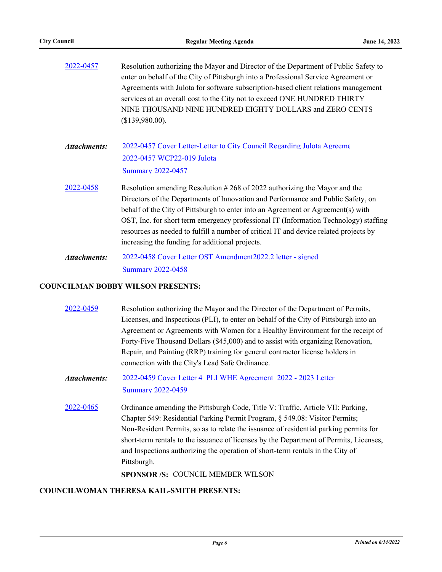| 2022-0457    | Resolution authorizing the Mayor and Director of the Department of Public Safety to<br>enter on behalf of the City of Pittsburgh into a Professional Service Agreement or<br>Agreements with Julota for software subscription-based client relations management<br>services at an overall cost to the City not to exceed ONE HUNDRED THIRTY<br>NINE THOUSAND NINE HUNDRED EIGHTY DOLLARS and ZERO CENTS<br>(\$139,980.00).                                                            |
|--------------|---------------------------------------------------------------------------------------------------------------------------------------------------------------------------------------------------------------------------------------------------------------------------------------------------------------------------------------------------------------------------------------------------------------------------------------------------------------------------------------|
| Attachments: | 2022-0457 Cover Letter-Letter to City Council Regarding Julota Agreeme<br>2022-0457 WCP22-019 Julota<br><b>Summary 2022-0457</b>                                                                                                                                                                                                                                                                                                                                                      |
| 2022-0458    | Resolution amending Resolution #268 of 2022 authorizing the Mayor and the<br>Directors of the Departments of Innovation and Performance and Public Safety, on<br>behalf of the City of Pittsburgh to enter into an Agreement or Agreement(s) with<br>OST, Inc. for short term emergency professional IT (Information Technology) staffing<br>resources as needed to fulfill a number of critical IT and device related projects by<br>increasing the funding for additional projects. |
| Attachments: | 2022-0458 Cover Letter OST Amendment 2022.2 letter - signed<br><b>Summary 2022-0458</b>                                                                                                                                                                                                                                                                                                                                                                                               |

### **COUNCILMAN BOBBY WILSON PRESENTS:**

| 2022-0459    | Resolution authorizing the Mayor and the Director of the Department of Permits,<br>Licenses, and Inspections (PLI), to enter on behalf of the City of Pittsburgh into an<br>Agreement or Agreements with Women for a Healthy Environment for the receipt of<br>Forty-Five Thousand Dollars (\$45,000) and to assist with organizing Renovation,<br>Repair, and Painting (RRP) training for general contractor license holders in<br>connection with the City's Lead Safe Ordinance. |
|--------------|-------------------------------------------------------------------------------------------------------------------------------------------------------------------------------------------------------------------------------------------------------------------------------------------------------------------------------------------------------------------------------------------------------------------------------------------------------------------------------------|
| Attachments: | 2022-0459 Cover Letter 4 PLI WHE Agreement 2022 - 2023 Letter<br><b>Summary 2022-0459</b>                                                                                                                                                                                                                                                                                                                                                                                           |
| 2022-0465    | Ordinance amending the Pittsburgh Code, Title V: Traffic, Article VII: Parking,<br>Chapter 549: Residential Parking Permit Program, § 549.08: Visitor Permits;<br>Non-Resident Permits, so as to relate the issuance of residential parking permits for<br>short-term rentals to the issuance of licenses by the Department of Permits, Licenses,<br>and Inspections authorizing the operation of short-term rentals in the City of<br>Pittsburgh.                                  |
|              | <b>SPONSOR/S: COUNCIL MEMBER WILSON</b>                                                                                                                                                                                                                                                                                                                                                                                                                                             |

### **COUNCILWOMAN THERESA KAIL-SMITH PRESENTS:**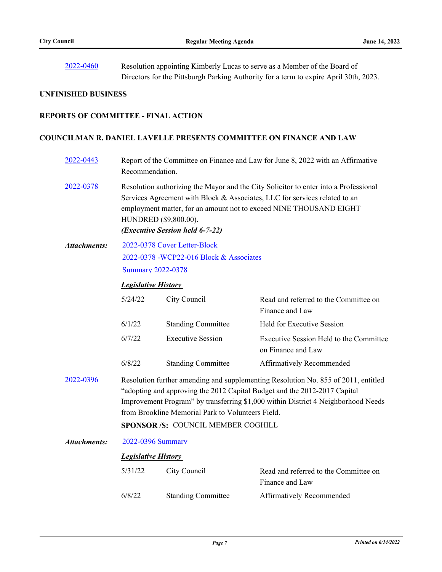[2022-0460](http://pittsburgh.legistar.com/gateway.aspx?m=l&id=/matter.aspx?key=27855) Resolution appointing Kimberly Lucas to serve as a Member of the Board of Directors for the Pittsburgh Parking Authority for a term to expire April 30th, 2023.

### **UNFINISHED BUSINESS**

### **REPORTS OF COMMITTEE - FINAL ACTION**

#### **COUNCILMAN R. DANIEL LAVELLE PRESENTS COMMITTEE ON FINANCE AND LAW**

| 2022-0443           | Report of the Committee on Finance and Law for June 8, 2022 with an Affirmative<br>Recommendation.                                                                                                                                                                                                                                              |                                                                                                     |                                                               |  |  |  |
|---------------------|-------------------------------------------------------------------------------------------------------------------------------------------------------------------------------------------------------------------------------------------------------------------------------------------------------------------------------------------------|-----------------------------------------------------------------------------------------------------|---------------------------------------------------------------|--|--|--|
| 2022-0378           | Resolution authorizing the Mayor and the City Solicitor to enter into a Professional<br>Services Agreement with Block & Associates, LLC for services related to an<br>employment matter, for an amount not to exceed NINE THOUSAND EIGHT<br>HUNDRED (\$9,800.00).<br>(Executive Session held 6-7-22)                                            |                                                                                                     |                                                               |  |  |  |
| <b>Attachments:</b> |                                                                                                                                                                                                                                                                                                                                                 | 2022-0378 Cover Letter-Block<br>2022-0378 -WCP22-016 Block & Associates<br><b>Summary 2022-0378</b> |                                                               |  |  |  |
|                     |                                                                                                                                                                                                                                                                                                                                                 | <b>Legislative History</b>                                                                          |                                                               |  |  |  |
|                     | 5/24/22                                                                                                                                                                                                                                                                                                                                         | City Council                                                                                        | Read and referred to the Committee on<br>Finance and Law      |  |  |  |
|                     | 6/1/22                                                                                                                                                                                                                                                                                                                                          | <b>Standing Committee</b>                                                                           | Held for Executive Session                                    |  |  |  |
|                     | 6/7/22                                                                                                                                                                                                                                                                                                                                          | <b>Executive Session</b>                                                                            | Executive Session Held to the Committee<br>on Finance and Law |  |  |  |
|                     | 6/8/22                                                                                                                                                                                                                                                                                                                                          | <b>Standing Committee</b>                                                                           | Affirmatively Recommended                                     |  |  |  |
| 2022-0396           | Resolution further amending and supplementing Resolution No. 855 of 2011, entitled<br>"adopting and approving the 2012 Capital Budget and the 2012-2017 Capital<br>Improvement Program" by transferring \$1,000 within District 4 Neighborhood Needs<br>from Brookline Memorial Park to Volunteers Field.<br>SPONSOR /S: COUNCIL MEMBER COGHILL |                                                                                                     |                                                               |  |  |  |
| <b>Attachments:</b> | 2022-0396 Summary                                                                                                                                                                                                                                                                                                                               |                                                                                                     |                                                               |  |  |  |
|                     | <b>Legislative History</b>                                                                                                                                                                                                                                                                                                                      |                                                                                                     |                                                               |  |  |  |
|                     | 5/31/22                                                                                                                                                                                                                                                                                                                                         | City Council                                                                                        | Read and referred to the Committee on<br>Finance and Law      |  |  |  |
|                     | 6/8/22                                                                                                                                                                                                                                                                                                                                          | <b>Standing Committee</b>                                                                           | <b>Affirmatively Recommended</b>                              |  |  |  |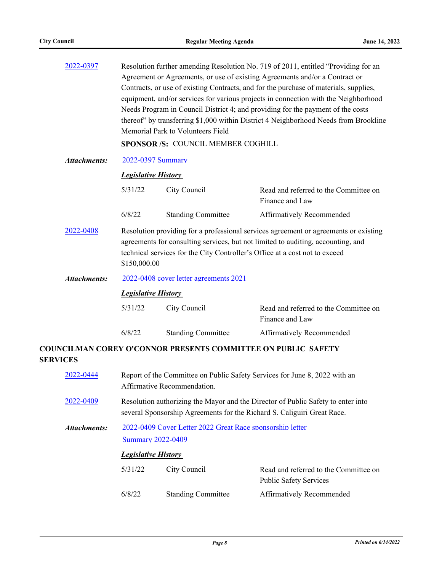| 2022-0397           | Resolution further amending Resolution No. 719 of 2011, entitled "Providing for an<br>Agreement or Agreements, or use of existing Agreements and/or a Contract or<br>Contracts, or use of existing Contracts, and for the purchase of materials, supplies,<br>equipment, and/or services for various projects in connection with the Neighborhood<br>Needs Program in Council District 4; and providing for the payment of the costs<br>thereof" by transferring \$1,000 within District 4 Neighborhood Needs from Brookline<br>Memorial Park to Volunteers Field<br>SPONSOR /S: COUNCIL MEMBER COGHILL |                                                                      |                                                                        |  |
|---------------------|---------------------------------------------------------------------------------------------------------------------------------------------------------------------------------------------------------------------------------------------------------------------------------------------------------------------------------------------------------------------------------------------------------------------------------------------------------------------------------------------------------------------------------------------------------------------------------------------------------|----------------------------------------------------------------------|------------------------------------------------------------------------|--|
| <b>Attachments:</b> | 2022-0397 Summary                                                                                                                                                                                                                                                                                                                                                                                                                                                                                                                                                                                       |                                                                      |                                                                        |  |
|                     | <b>Legislative History</b>                                                                                                                                                                                                                                                                                                                                                                                                                                                                                                                                                                              |                                                                      |                                                                        |  |
|                     | 5/31/22                                                                                                                                                                                                                                                                                                                                                                                                                                                                                                                                                                                                 | City Council                                                         | Read and referred to the Committee on<br>Finance and Law               |  |
|                     | 6/8/22                                                                                                                                                                                                                                                                                                                                                                                                                                                                                                                                                                                                  | <b>Standing Committee</b>                                            | Affirmatively Recommended                                              |  |
| 2022-0408           | Resolution providing for a professional services agreement or agreements or existing<br>agreements for consulting services, but not limited to auditing, accounting, and<br>technical services for the City Controller's Office at a cost not to exceed<br>\$150,000.00                                                                                                                                                                                                                                                                                                                                 |                                                                      |                                                                        |  |
| <b>Attachments:</b> | 2022-0408 cover letter agreements 2021                                                                                                                                                                                                                                                                                                                                                                                                                                                                                                                                                                  |                                                                      |                                                                        |  |
|                     | <b>Legislative History</b>                                                                                                                                                                                                                                                                                                                                                                                                                                                                                                                                                                              |                                                                      |                                                                        |  |
|                     | 5/31/22                                                                                                                                                                                                                                                                                                                                                                                                                                                                                                                                                                                                 | City Council                                                         | Read and referred to the Committee on<br>Finance and Law               |  |
|                     | 6/8/22                                                                                                                                                                                                                                                                                                                                                                                                                                                                                                                                                                                                  | <b>Standing Committee</b>                                            | Affirmatively Recommended                                              |  |
| <b>SERVICES</b>     |                                                                                                                                                                                                                                                                                                                                                                                                                                                                                                                                                                                                         | <b>COUNCILMAN COREY O'CONNOR PRESENTS COMMITTEE ON PUBLIC SAFETY</b> |                                                                        |  |
| 2022-0444           | Report of the Committee on Public Safety Services for June 8, 2022 with an<br>Affirmative Recommendation.                                                                                                                                                                                                                                                                                                                                                                                                                                                                                               |                                                                      |                                                                        |  |
| 2022-0409           | Resolution authorizing the Mayor and the Director of Public Safety to enter into<br>several Sponsorship Agreements for the Richard S. Caliguiri Great Race.                                                                                                                                                                                                                                                                                                                                                                                                                                             |                                                                      |                                                                        |  |
| <b>Attachments:</b> |                                                                                                                                                                                                                                                                                                                                                                                                                                                                                                                                                                                                         | 2022-0409 Cover Letter 2022 Great Race sponsorship letter            |                                                                        |  |
|                     | <b>Summary 2022-0409</b>                                                                                                                                                                                                                                                                                                                                                                                                                                                                                                                                                                                |                                                                      |                                                                        |  |
|                     | <b>Legislative History</b>                                                                                                                                                                                                                                                                                                                                                                                                                                                                                                                                                                              |                                                                      |                                                                        |  |
|                     | 5/31/22                                                                                                                                                                                                                                                                                                                                                                                                                                                                                                                                                                                                 | City Council                                                         | Read and referred to the Committee on<br><b>Public Safety Services</b> |  |
|                     | 6/8/22                                                                                                                                                                                                                                                                                                                                                                                                                                                                                                                                                                                                  | <b>Standing Committee</b>                                            | Affirmatively Recommended                                              |  |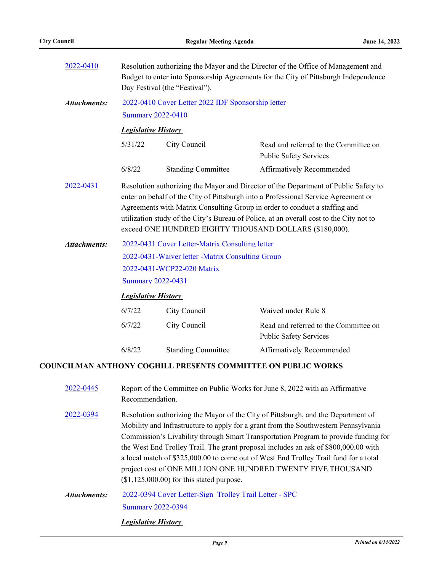| 2022-0410           | Resolution authorizing the Mayor and the Director of the Office of Management and<br>Budget to enter into Sponsorship Agreements for the City of Pittsburgh Independence<br>Day Festival (the "Festival").                                                                                                                                                                                                                                     |                                                    |                                                                        |
|---------------------|------------------------------------------------------------------------------------------------------------------------------------------------------------------------------------------------------------------------------------------------------------------------------------------------------------------------------------------------------------------------------------------------------------------------------------------------|----------------------------------------------------|------------------------------------------------------------------------|
| <b>Attachments:</b> |                                                                                                                                                                                                                                                                                                                                                                                                                                                | 2022-0410 Cover Letter 2022 IDF Sponsorship letter |                                                                        |
|                     |                                                                                                                                                                                                                                                                                                                                                                                                                                                | <b>Summary 2022-0410</b>                           |                                                                        |
|                     | <b>Legislative History</b>                                                                                                                                                                                                                                                                                                                                                                                                                     |                                                    |                                                                        |
|                     | 5/31/22                                                                                                                                                                                                                                                                                                                                                                                                                                        | City Council                                       | Read and referred to the Committee on<br><b>Public Safety Services</b> |
|                     | 6/8/22                                                                                                                                                                                                                                                                                                                                                                                                                                         | <b>Standing Committee</b>                          | Affirmatively Recommended                                              |
| 2022-0431           | Resolution authorizing the Mayor and Director of the Department of Public Safety to<br>enter on behalf of the City of Pittsburgh into a Professional Service Agreement or<br>Agreements with Matrix Consulting Group in order to conduct a staffing and<br>utilization study of the City's Bureau of Police, at an overall cost to the City not to<br>exceed ONE HUNDRED EIGHTY THOUSAND DOLLARS (\$180,000).                                  |                                                    |                                                                        |
| <b>Attachments:</b> | 2022-0431 Cover Letter-Matrix Consulting letter                                                                                                                                                                                                                                                                                                                                                                                                |                                                    |                                                                        |
|                     | 2022-0431-Waiver letter -Matrix Consulting Group                                                                                                                                                                                                                                                                                                                                                                                               |                                                    |                                                                        |
|                     | 2022-0431-WCP22-020 Matrix                                                                                                                                                                                                                                                                                                                                                                                                                     |                                                    |                                                                        |
|                     | <b>Summary 2022-0431</b>                                                                                                                                                                                                                                                                                                                                                                                                                       |                                                    |                                                                        |
|                     | <b>Legislative History</b>                                                                                                                                                                                                                                                                                                                                                                                                                     |                                                    |                                                                        |
|                     | 6/7/22                                                                                                                                                                                                                                                                                                                                                                                                                                         | City Council                                       | Waived under Rule 8                                                    |
|                     | 6/7/22                                                                                                                                                                                                                                                                                                                                                                                                                                         | City Council                                       | Read and referred to the Committee on<br><b>Public Safety Services</b> |
|                     | 6/8/22                                                                                                                                                                                                                                                                                                                                                                                                                                         | <b>Standing Committee</b>                          | Affirmatively Recommended                                              |
|                     |                                                                                                                                                                                                                                                                                                                                                                                                                                                |                                                    | <b>COUNCILMAN ANTHONY COGHILL PRESENTS COMMITTEE ON PUBLIC WORKS</b>   |
| 2022-0445           | Report of the Committee on Public Works for June 8, 2022 with an Affirmative<br>Recommendation.                                                                                                                                                                                                                                                                                                                                                |                                                    |                                                                        |
| 2022-0394           | Resolution authorizing the Mayor of the City of Pittsburgh, and the Department of<br>Mobility and Infrastructure to apply for a grant from the Southwestern Pennsylvania<br>Commission's Livability through Smart Transportation Program to provide funding for<br>the West End Trolley Trail. The grant proposal includes an ask of \$800,000.00 with<br>a local match of \$325,000.00 to come out of West End Trolley Trail fund for a total |                                                    |                                                                        |

[2022-0394 Cover Letter-Sign\\_Trolley Trail Letter - SPC](http://pittsburgh.legistar.com/gateway.aspx?M=F&ID=4bf0b020-09f7-484c-a02b-954e39a0db9e.pdf) [Summary 2022-0394](http://pittsburgh.legistar.com/gateway.aspx?M=F&ID=d1949c93-6295-4666-8e11-9696fc89b8d1.docx) *Attachments:*

(\$1,125,000.00) for this stated purpose.

*Legislative History* 

project cost of ONE MILLION ONE HUNDRED TWENTY FIVE THOUSAND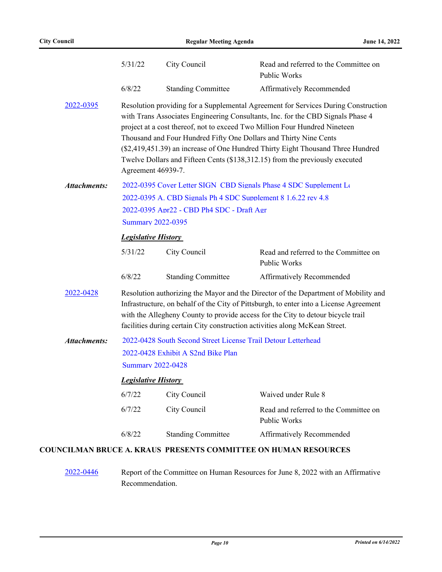|                     | 5/31/22                                                                                                                                                                                                                                                                                                                                                                                                                                                                                                           | City Council                                                  | Read and referred to the Committee on<br><b>Public Works</b>           |  |
|---------------------|-------------------------------------------------------------------------------------------------------------------------------------------------------------------------------------------------------------------------------------------------------------------------------------------------------------------------------------------------------------------------------------------------------------------------------------------------------------------------------------------------------------------|---------------------------------------------------------------|------------------------------------------------------------------------|--|
|                     | 6/8/22                                                                                                                                                                                                                                                                                                                                                                                                                                                                                                            | <b>Standing Committee</b>                                     | Affirmatively Recommended                                              |  |
| 2022-0395           | Resolution providing for a Supplemental Agreement for Services During Construction<br>with Trans Associates Engineering Consultants, Inc. for the CBD Signals Phase 4<br>project at a cost thereof, not to exceed Two Million Four Hundred Nineteen<br>Thousand and Four Hundred Fifty One Dollars and Thirty Nine Cents<br>(\$2,419,451.39) an increase of One Hundred Thirty Eight Thousand Three Hundred<br>Twelve Dollars and Fifteen Cents (\$138,312.15) from the previously executed<br>Agreement 46939-7. |                                                               |                                                                        |  |
| <b>Attachments:</b> |                                                                                                                                                                                                                                                                                                                                                                                                                                                                                                                   |                                                               | 2022-0395 Cover Letter SIGN CBD Signals Phase 4 SDC Supplement Le      |  |
|                     | 2022-0395 A. CBD Signals Ph 4 SDC Supplement 8 1.6.22 rev 4.8                                                                                                                                                                                                                                                                                                                                                                                                                                                     |                                                               |                                                                        |  |
|                     | 2022-0395 Apr22 - CBD Ph4 SDC - Draft Agr                                                                                                                                                                                                                                                                                                                                                                                                                                                                         |                                                               |                                                                        |  |
|                     | <b>Summary 2022-0395</b>                                                                                                                                                                                                                                                                                                                                                                                                                                                                                          |                                                               |                                                                        |  |
|                     | <b>Legislative History</b>                                                                                                                                                                                                                                                                                                                                                                                                                                                                                        |                                                               |                                                                        |  |
|                     | 5/31/22                                                                                                                                                                                                                                                                                                                                                                                                                                                                                                           | City Council                                                  | Read and referred to the Committee on<br>Public Works                  |  |
|                     | 6/8/22                                                                                                                                                                                                                                                                                                                                                                                                                                                                                                            | <b>Standing Committee</b>                                     | Affirmatively Recommended                                              |  |
| 2022-0428           | Resolution authorizing the Mayor and the Director of the Department of Mobility and<br>Infrastructure, on behalf of the City of Pittsburgh, to enter into a License Agreement<br>with the Allegheny County to provide access for the City to detour bicycle trail<br>facilities during certain City construction activities along McKean Street.                                                                                                                                                                  |                                                               |                                                                        |  |
| <b>Attachments:</b> |                                                                                                                                                                                                                                                                                                                                                                                                                                                                                                                   | 2022-0428 South Second Street License Trail Detour Letterhead |                                                                        |  |
|                     | 2022-0428 Exhibit A S2nd Bike Plan                                                                                                                                                                                                                                                                                                                                                                                                                                                                                |                                                               |                                                                        |  |
|                     | <b>Summary 2022-0428</b>                                                                                                                                                                                                                                                                                                                                                                                                                                                                                          |                                                               |                                                                        |  |
|                     | <b>Legislative History</b>                                                                                                                                                                                                                                                                                                                                                                                                                                                                                        |                                                               |                                                                        |  |
|                     | 6/7/22                                                                                                                                                                                                                                                                                                                                                                                                                                                                                                            | City Council                                                  | Waived under Rule 8                                                    |  |
|                     | 6/7/22                                                                                                                                                                                                                                                                                                                                                                                                                                                                                                            | City Council                                                  | Read and referred to the Committee on<br>Public Works                  |  |
|                     | 6/8/22                                                                                                                                                                                                                                                                                                                                                                                                                                                                                                            | <b>Standing Committee</b>                                     | Affirmatively Recommended                                              |  |
|                     |                                                                                                                                                                                                                                                                                                                                                                                                                                                                                                                   |                                                               | <b>COUNCILMAN BRUCE A. KRAUS PRESENTS COMMITTEE ON HUMAN RESOURCES</b> |  |

### [2022-0446](http://pittsburgh.legistar.com/gateway.aspx?m=l&id=/matter.aspx?key=27841) Report of the Committee on Human Resources for June 8, 2022 with an Affirmative Recommendation.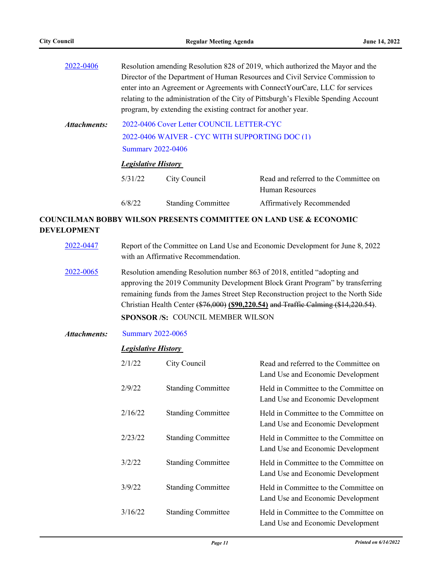|                                                                                                                                         | Resolution amending Resolution 828 of 2019, which authorized the Mayor and the<br>Director of the Department of Human Resources and Civil Service Commission to<br>enter into an Agreement or Agreements with Connect Your Care, LLC for services<br>relating to the administration of the City of Pittsburgh's Flexible Spending Account<br>program, by extending the existing contract for another year. |                           |                                                          |  |
|-----------------------------------------------------------------------------------------------------------------------------------------|------------------------------------------------------------------------------------------------------------------------------------------------------------------------------------------------------------------------------------------------------------------------------------------------------------------------------------------------------------------------------------------------------------|---------------------------|----------------------------------------------------------|--|
| 2022-0406 Cover Letter COUNCIL LETTER-CYC<br>Attachments:<br>2022-0406 WAIVER - CYC WITH SUPPORTING DOC (1)<br><b>Summary 2022-0406</b> |                                                                                                                                                                                                                                                                                                                                                                                                            |                           |                                                          |  |
|                                                                                                                                         | <b>Legislative History</b>                                                                                                                                                                                                                                                                                                                                                                                 |                           |                                                          |  |
|                                                                                                                                         | 5/31/22                                                                                                                                                                                                                                                                                                                                                                                                    | City Council              | Read and referred to the Committee on<br>Human Resources |  |
|                                                                                                                                         | 6/8/22                                                                                                                                                                                                                                                                                                                                                                                                     | <b>Standing Committee</b> | Affirmatively Recommended                                |  |

## **COUNCILMAN BOBBY WILSON PRESENTS COMMITTEE ON LAND USE & ECONOMIC DEVELOPMENT**

| 2022-0447    | Report of the Committee on Land Use and Economic Development for June 8, 2022<br>with an Affirmative Recommendation.                                                                                                                                                                                                                                                                |              |                                                                            |  |
|--------------|-------------------------------------------------------------------------------------------------------------------------------------------------------------------------------------------------------------------------------------------------------------------------------------------------------------------------------------------------------------------------------------|--------------|----------------------------------------------------------------------------|--|
| 2022-0065    | Resolution amending Resolution number 863 of 2018, entitled "adopting and<br>approving the 2019 Community Development Block Grant Program" by transferring<br>remaining funds from the James Street Step Reconstruction project to the North Side<br>Christian Health Center (\$76,000) (\$90,220.54) and Traffic Calming (\$14,220.54).<br><b>SPONSOR/S: COUNCIL MEMBER WILSON</b> |              |                                                                            |  |
| Attachments: | <b>Summary 2022-0065</b>                                                                                                                                                                                                                                                                                                                                                            |              |                                                                            |  |
|              | <b>Legislative History</b>                                                                                                                                                                                                                                                                                                                                                          |              |                                                                            |  |
|              | 2/1/22                                                                                                                                                                                                                                                                                                                                                                              | City Council | Read and referred to the Committee on<br>Land Use and Economic Development |  |
|              |                                                                                                                                                                                                                                                                                                                                                                                     |              |                                                                            |  |

|         |                           | Land Use and Economic Development                                          |
|---------|---------------------------|----------------------------------------------------------------------------|
| 2/9/22  | <b>Standing Committee</b> | Held in Committee to the Committee on<br>Land Use and Economic Development |
| 2/16/22 | <b>Standing Committee</b> | Held in Committee to the Committee on<br>Land Use and Economic Development |
| 2/23/22 | <b>Standing Committee</b> | Held in Committee to the Committee on<br>Land Use and Economic Development |
| 3/2/22  | <b>Standing Committee</b> | Held in Committee to the Committee on<br>Land Use and Economic Development |
| 3/9/22  | <b>Standing Committee</b> | Held in Committee to the Committee on<br>Land Use and Economic Development |
| 3/16/22 | <b>Standing Committee</b> | Held in Committee to the Committee on<br>Land Use and Economic Development |
|         |                           |                                                                            |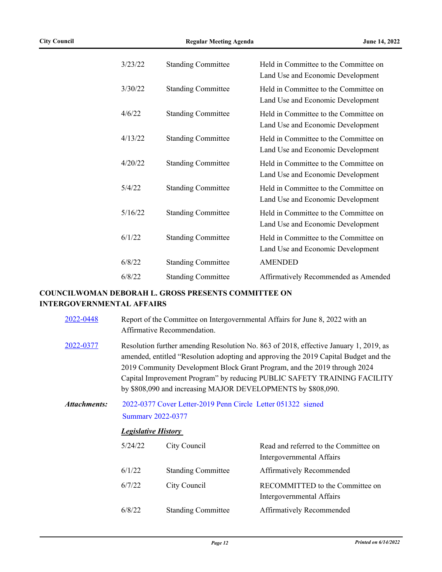| 3/23/22 | <b>Standing Committee</b> | Held in Committee to the Committee on<br>Land Use and Economic Development |
|---------|---------------------------|----------------------------------------------------------------------------|
| 3/30/22 | <b>Standing Committee</b> | Held in Committee to the Committee on<br>Land Use and Economic Development |
| 4/6/22  | <b>Standing Committee</b> | Held in Committee to the Committee on<br>Land Use and Economic Development |
| 4/13/22 | <b>Standing Committee</b> | Held in Committee to the Committee on<br>Land Use and Economic Development |
| 4/20/22 | <b>Standing Committee</b> | Held in Committee to the Committee on<br>Land Use and Economic Development |
| 5/4/22  | <b>Standing Committee</b> | Held in Committee to the Committee on<br>Land Use and Economic Development |
| 5/16/22 | <b>Standing Committee</b> | Held in Committee to the Committee on<br>Land Use and Economic Development |
| 6/1/22  | <b>Standing Committee</b> | Held in Committee to the Committee on<br>Land Use and Economic Development |
| 6/8/22  | <b>Standing Committee</b> | <b>AMENDED</b>                                                             |
| 6/8/22  | <b>Standing Committee</b> | Affirmatively Recommended as Amended                                       |
|         |                           |                                                                            |

### **COUNCILWOMAN DEBORAH L. GROSS PRESENTS COMMITTEE ON INTERGOVERNMENTAL AFFAIRS**

- [2022-0448](http://pittsburgh.legistar.com/gateway.aspx?m=l&id=/matter.aspx?key=27843) Report of the Committee on Intergovernmental Affairs for June 8, 2022 with an Affirmative Recommendation.
- [2022-0377](http://pittsburgh.legistar.com/gateway.aspx?m=l&id=/matter.aspx?key=27759) Resolution further amending Resolution No. 863 of 2018, effective January 1, 2019, as amended, entitled "Resolution adopting and approving the 2019 Capital Budget and the 2019 Community Development Block Grant Program, and the 2019 through 2024 Capital Improvement Program" by reducing PUBLIC SAFETY TRAINING FACILITY by \$808,090 and increasing MAJOR DEVELOPMENTS by \$808,090.

#### [2022-0377 Cover Letter-2019 Penn Circle\\_Letter 051322\\_signed](http://pittsburgh.legistar.com/gateway.aspx?M=F&ID=2bbc9962-325c-4599-bd79-95a931f1c7c8.pdf) [Summary 2022-0377](http://pittsburgh.legistar.com/gateway.aspx?M=F&ID=7be6f85f-03fc-4394-bc82-f15f6269be8e.docx) *Attachments:*

#### *Legislative History*

| 5/24/22 | City Council              | Read and referred to the Committee on<br>Intergovernmental Affairs |
|---------|---------------------------|--------------------------------------------------------------------|
| 6/1/22  | <b>Standing Committee</b> | Affirmatively Recommended                                          |
| 6/7/22  | City Council              | RECOMMITTED to the Committee on<br>Intergovernmental Affairs       |
| 6/8/22  | <b>Standing Committee</b> | <b>Affirmatively Recommended</b>                                   |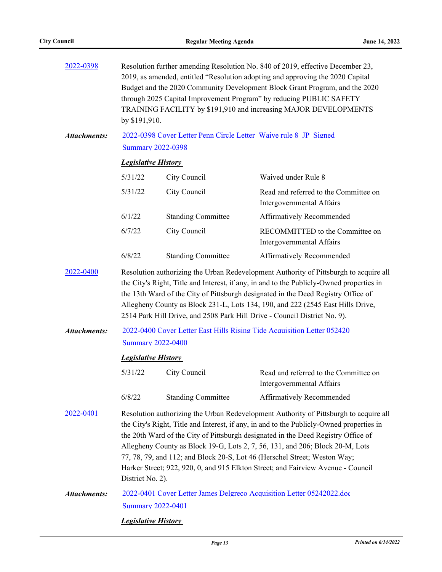| 2022-0398                                                                                                                                                                                                                                                                                                                                                                                                                                           | Resolution further amending Resolution No. 840 of 2019, effective December 23,<br>2019, as amended, entitled "Resolution adopting and approving the 2020 Capital<br>Budget and the 2020 Community Development Block Grant Program, and the 2020<br>through 2025 Capital Improvement Program" by reducing PUBLIC SAFETY<br>TRAINING FACILITY by \$191,910 and increasing MAJOR DEVELOPMENTS<br>by \$191,910.                                                                                                                                  |                            |                                                                    |  |
|-----------------------------------------------------------------------------------------------------------------------------------------------------------------------------------------------------------------------------------------------------------------------------------------------------------------------------------------------------------------------------------------------------------------------------------------------------|----------------------------------------------------------------------------------------------------------------------------------------------------------------------------------------------------------------------------------------------------------------------------------------------------------------------------------------------------------------------------------------------------------------------------------------------------------------------------------------------------------------------------------------------|----------------------------|--------------------------------------------------------------------|--|
| <b>Attachments:</b>                                                                                                                                                                                                                                                                                                                                                                                                                                 | 2022-0398 Cover Letter Penn Circle Letter Waive rule 8 JP Signed<br><b>Summary 2022-0398</b>                                                                                                                                                                                                                                                                                                                                                                                                                                                 |                            |                                                                    |  |
|                                                                                                                                                                                                                                                                                                                                                                                                                                                     |                                                                                                                                                                                                                                                                                                                                                                                                                                                                                                                                              | <b>Legislative History</b> |                                                                    |  |
|                                                                                                                                                                                                                                                                                                                                                                                                                                                     | 5/31/22                                                                                                                                                                                                                                                                                                                                                                                                                                                                                                                                      | City Council               | Waived under Rule 8                                                |  |
|                                                                                                                                                                                                                                                                                                                                                                                                                                                     | 5/31/22                                                                                                                                                                                                                                                                                                                                                                                                                                                                                                                                      | City Council               | Read and referred to the Committee on<br>Intergovernmental Affairs |  |
|                                                                                                                                                                                                                                                                                                                                                                                                                                                     | 6/1/22                                                                                                                                                                                                                                                                                                                                                                                                                                                                                                                                       | <b>Standing Committee</b>  | Affirmatively Recommended                                          |  |
|                                                                                                                                                                                                                                                                                                                                                                                                                                                     | 6/7/22                                                                                                                                                                                                                                                                                                                                                                                                                                                                                                                                       | City Council               | RECOMMITTED to the Committee on<br>Intergovernmental Affairs       |  |
|                                                                                                                                                                                                                                                                                                                                                                                                                                                     | 6/8/22                                                                                                                                                                                                                                                                                                                                                                                                                                                                                                                                       | <b>Standing Committee</b>  | Affirmatively Recommended                                          |  |
| 2022-0400<br>Resolution authorizing the Urban Redevelopment Authority of Pittsburgh to acquire all<br>the City's Right, Title and Interest, if any, in and to the Publicly-Owned properties in<br>the 13th Ward of the City of Pittsburgh designated in the Deed Registry Office of<br>Allegheny County as Block 231-L, Lots 134, 190, and 222 (2545 East Hills Drive,<br>2514 Park Hill Drive, and 2508 Park Hill Drive - Council District No. 9). |                                                                                                                                                                                                                                                                                                                                                                                                                                                                                                                                              |                            |                                                                    |  |
| <b>Attachments:</b>                                                                                                                                                                                                                                                                                                                                                                                                                                 | 2022-0400 Cover Letter East Hills Rising Tide Acquisition Letter 052420<br><b>Summary 2022-0400</b>                                                                                                                                                                                                                                                                                                                                                                                                                                          |                            |                                                                    |  |
|                                                                                                                                                                                                                                                                                                                                                                                                                                                     | <b>Legislative History</b>                                                                                                                                                                                                                                                                                                                                                                                                                                                                                                                   |                            |                                                                    |  |
|                                                                                                                                                                                                                                                                                                                                                                                                                                                     | 5/31/22                                                                                                                                                                                                                                                                                                                                                                                                                                                                                                                                      | City Council               | Read and referred to the Committee on<br>Intergovernmental Affairs |  |
|                                                                                                                                                                                                                                                                                                                                                                                                                                                     | 6/8/22                                                                                                                                                                                                                                                                                                                                                                                                                                                                                                                                       | <b>Standing Committee</b>  | <b>Affirmatively Recommended</b>                                   |  |
| 2022-0401                                                                                                                                                                                                                                                                                                                                                                                                                                           | Resolution authorizing the Urban Redevelopment Authority of Pittsburgh to acquire all<br>the City's Right, Title and Interest, if any, in and to the Publicly-Owned properties in<br>the 20th Ward of the City of Pittsburgh designated in the Deed Registry Office of<br>Allegheny County as Block 19-G, Lots 2, 7, 56, 131, and 206; Block 20-M, Lots<br>77, 78, 79, and 112; and Block 20-S, Lot 46 (Herschel Street; Weston Way;<br>Harker Street; 922, 920, 0, and 915 Elkton Street; and Fairview Avenue - Council<br>District No. 2). |                            |                                                                    |  |
| <b>Attachments:</b>                                                                                                                                                                                                                                                                                                                                                                                                                                 | 2022-0401 Cover Letter James Delgreco Acquisition Letter 05242022.doc<br><b>Summary 2022-0401</b>                                                                                                                                                                                                                                                                                                                                                                                                                                            |                            |                                                                    |  |
|                                                                                                                                                                                                                                                                                                                                                                                                                                                     | <b>Legislative History</b>                                                                                                                                                                                                                                                                                                                                                                                                                                                                                                                   |                            |                                                                    |  |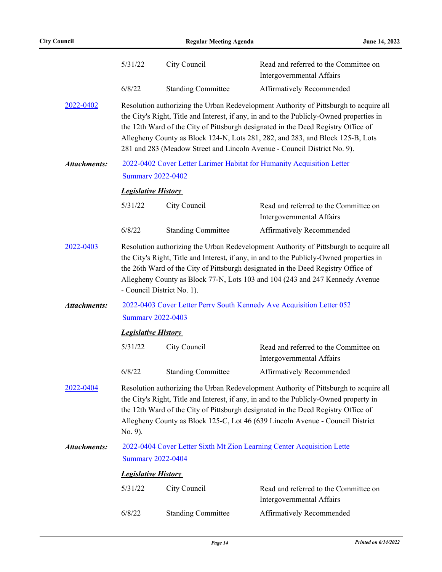|                     | 5/31/22                                                                                                                                                                                                                                                                                                                                                                                                                              | City Council              | Read and referred to the Committee on<br>Intergovernmental Affairs |  |
|---------------------|--------------------------------------------------------------------------------------------------------------------------------------------------------------------------------------------------------------------------------------------------------------------------------------------------------------------------------------------------------------------------------------------------------------------------------------|---------------------------|--------------------------------------------------------------------|--|
|                     | 6/8/22                                                                                                                                                                                                                                                                                                                                                                                                                               | <b>Standing Committee</b> | Affirmatively Recommended                                          |  |
| 2022-0402           | Resolution authorizing the Urban Redevelopment Authority of Pittsburgh to acquire all<br>the City's Right, Title and Interest, if any, in and to the Publicly-Owned properties in<br>the 12th Ward of the City of Pittsburgh designated in the Deed Registry Office of<br>Allegheny County as Block 124-N, Lots 281, 282, and 283, and Block 125-B, Lots<br>281 and 283 (Meadow Street and Lincoln Avenue - Council District No. 9). |                           |                                                                    |  |
| <b>Attachments:</b> | 2022-0402 Cover Letter Larimer Habitat for Humanity Acquisition Letter<br><b>Summary 2022-0402</b>                                                                                                                                                                                                                                                                                                                                   |                           |                                                                    |  |
|                     | <b>Legislative History</b>                                                                                                                                                                                                                                                                                                                                                                                                           |                           |                                                                    |  |
|                     | 5/31/22                                                                                                                                                                                                                                                                                                                                                                                                                              | City Council              | Read and referred to the Committee on<br>Intergovernmental Affairs |  |
|                     | 6/8/22                                                                                                                                                                                                                                                                                                                                                                                                                               | <b>Standing Committee</b> | Affirmatively Recommended                                          |  |
| 2022-0403           | Resolution authorizing the Urban Redevelopment Authority of Pittsburgh to acquire all<br>the City's Right, Title and Interest, if any, in and to the Publicly-Owned properties in<br>the 26th Ward of the City of Pittsburgh designated in the Deed Registry Office of<br>Allegheny County as Block 77-N, Lots 103 and 104 (243 and 247 Kennedy Avenue<br>- Council District No. 1).                                                 |                           |                                                                    |  |
| <b>Attachments:</b> | 2022-0403 Cover Letter Perry South Kennedy Ave Acquisition Letter 052<br><b>Summary 2022-0403</b>                                                                                                                                                                                                                                                                                                                                    |                           |                                                                    |  |
|                     | <b>Legislative History</b>                                                                                                                                                                                                                                                                                                                                                                                                           |                           |                                                                    |  |
|                     | 5/31/22                                                                                                                                                                                                                                                                                                                                                                                                                              | City Council              | Read and referred to the Committee on<br>Intergovernmental Affairs |  |
|                     | 6/8/22                                                                                                                                                                                                                                                                                                                                                                                                                               | <b>Standing Committee</b> | Affirmatively Recommended                                          |  |
| 2022-0404           | Resolution authorizing the Urban Redevelopment Authority of Pittsburgh to acquire all<br>the City's Right, Title and Interest, if any, in and to the Publicly-Owned property in<br>the 12th Ward of the City of Pittsburgh designated in the Deed Registry Office of<br>Allegheny County as Block 125-C, Lot 46 (639 Lincoln Avenue - Council District<br>No. 9).                                                                    |                           |                                                                    |  |
| <b>Attachments:</b> | 2022-0404 Cover Letter Sixth Mt Zion Learning Center Acquisition Lette                                                                                                                                                                                                                                                                                                                                                               |                           |                                                                    |  |
|                     | <b>Summary 2022-0404</b>                                                                                                                                                                                                                                                                                                                                                                                                             |                           |                                                                    |  |
|                     | <b>Legislative History</b>                                                                                                                                                                                                                                                                                                                                                                                                           |                           |                                                                    |  |
|                     | 5/31/22                                                                                                                                                                                                                                                                                                                                                                                                                              | City Council              | Read and referred to the Committee on<br>Intergovernmental Affairs |  |
|                     | 6/8/22                                                                                                                                                                                                                                                                                                                                                                                                                               | <b>Standing Committee</b> | Affirmatively Recommended                                          |  |